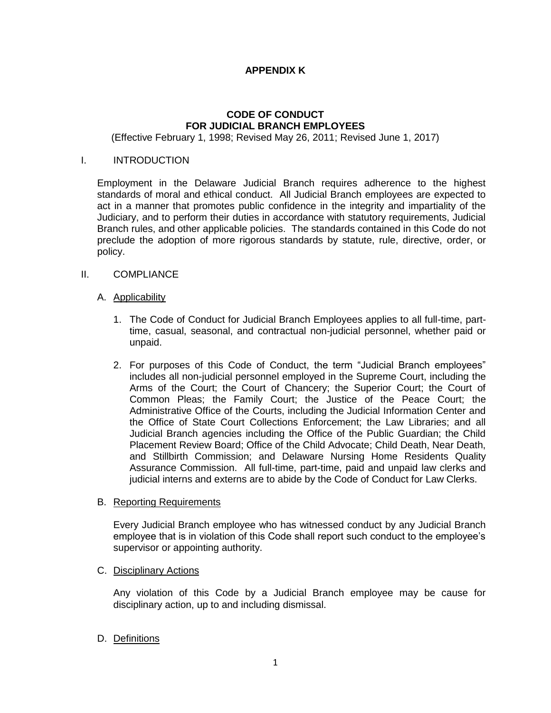# **APPENDIX K**

# **CODE OF CONDUCT FOR JUDICIAL BRANCH EMPLOYEES**

(Effective February 1, 1998; Revised May 26, 2011; Revised June 1, 2017)

## I. INTRODUCTION

Employment in the Delaware Judicial Branch requires adherence to the highest standards of moral and ethical conduct. All Judicial Branch employees are expected to act in a manner that promotes public confidence in the integrity and impartiality of the Judiciary, and to perform their duties in accordance with statutory requirements, Judicial Branch rules, and other applicable policies. The standards contained in this Code do not preclude the adoption of more rigorous standards by statute, rule, directive, order, or policy.

## II. COMPLIANCE

## A. Applicability

- 1. The Code of Conduct for Judicial Branch Employees applies to all full-time, parttime, casual, seasonal, and contractual non-judicial personnel, whether paid or unpaid.
- 2. For purposes of this Code of Conduct, the term "Judicial Branch employees" includes all non-judicial personnel employed in the Supreme Court, including the Arms of the Court; the Court of Chancery; the Superior Court; the Court of Common Pleas; the Family Court; the Justice of the Peace Court; the Administrative Office of the Courts, including the Judicial Information Center and the Office of State Court Collections Enforcement; the Law Libraries; and all Judicial Branch agencies including the Office of the Public Guardian; the Child Placement Review Board; Office of the Child Advocate; Child Death, Near Death, and Stillbirth Commission; and Delaware Nursing Home Residents Quality Assurance Commission. All full-time, part-time, paid and unpaid law clerks and judicial interns and externs are to abide by the Code of Conduct for Law Clerks.

## B. Reporting Requirements

Every Judicial Branch employee who has witnessed conduct by any Judicial Branch employee that is in violation of this Code shall report such conduct to the employee's supervisor or appointing authority.

## C. Disciplinary Actions

Any violation of this Code by a Judicial Branch employee may be cause for disciplinary action, up to and including dismissal.

# D. Definitions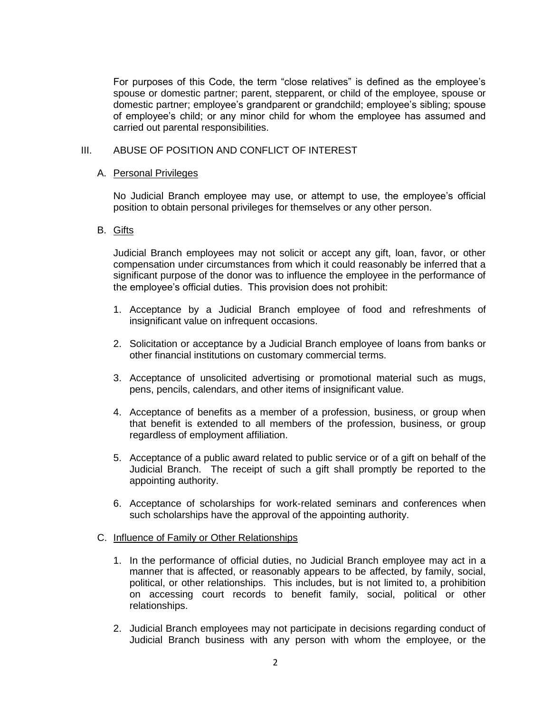For purposes of this Code, the term "close relatives" is defined as the employee's spouse or domestic partner; parent, stepparent, or child of the employee, spouse or domestic partner; employee's grandparent or grandchild; employee's sibling; spouse of employee's child; or any minor child for whom the employee has assumed and carried out parental responsibilities.

## III. ABUSE OF POSITION AND CONFLICT OF INTEREST

## A. Personal Privileges

No Judicial Branch employee may use, or attempt to use, the employee's official position to obtain personal privileges for themselves or any other person.

## B. Gifts

Judicial Branch employees may not solicit or accept any gift, loan, favor, or other compensation under circumstances from which it could reasonably be inferred that a significant purpose of the donor was to influence the employee in the performance of the employee's official duties. This provision does not prohibit:

- 1. Acceptance by a Judicial Branch employee of food and refreshments of insignificant value on infrequent occasions.
- 2. Solicitation or acceptance by a Judicial Branch employee of loans from banks or other financial institutions on customary commercial terms.
- 3. Acceptance of unsolicited advertising or promotional material such as mugs, pens, pencils, calendars, and other items of insignificant value.
- 4. Acceptance of benefits as a member of a profession, business, or group when that benefit is extended to all members of the profession, business, or group regardless of employment affiliation.
- 5. Acceptance of a public award related to public service or of a gift on behalf of the Judicial Branch. The receipt of such a gift shall promptly be reported to the appointing authority.
- 6. Acceptance of scholarships for work-related seminars and conferences when such scholarships have the approval of the appointing authority.

## C. Influence of Family or Other Relationships

- 1. In the performance of official duties, no Judicial Branch employee may act in a manner that is affected, or reasonably appears to be affected, by family, social, political, or other relationships. This includes, but is not limited to, a prohibition on accessing court records to benefit family, social, political or other relationships.
- 2. Judicial Branch employees may not participate in decisions regarding conduct of Judicial Branch business with any person with whom the employee, or the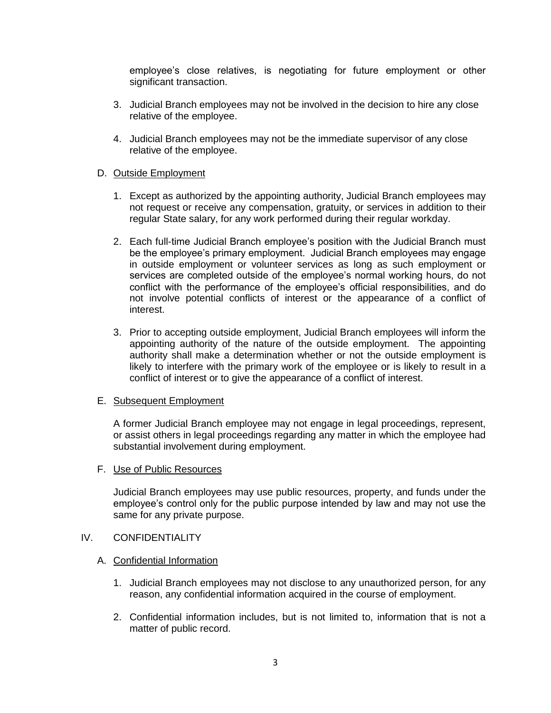employee's close relatives, is negotiating for future employment or other significant transaction.

- 3. Judicial Branch employees may not be involved in the decision to hire any close relative of the employee.
- 4. Judicial Branch employees may not be the immediate supervisor of any close relative of the employee.

## D. Outside Employment

- 1. Except as authorized by the appointing authority, Judicial Branch employees may not request or receive any compensation, gratuity, or services in addition to their regular State salary, for any work performed during their regular workday.
- 2. Each full-time Judicial Branch employee's position with the Judicial Branch must be the employee's primary employment. Judicial Branch employees may engage in outside employment or volunteer services as long as such employment or services are completed outside of the employee's normal working hours, do not conflict with the performance of the employee's official responsibilities, and do not involve potential conflicts of interest or the appearance of a conflict of interest.
- 3. Prior to accepting outside employment, Judicial Branch employees will inform the appointing authority of the nature of the outside employment. The appointing authority shall make a determination whether or not the outside employment is likely to interfere with the primary work of the employee or is likely to result in a conflict of interest or to give the appearance of a conflict of interest.

## E. Subsequent Employment

A former Judicial Branch employee may not engage in legal proceedings, represent, or assist others in legal proceedings regarding any matter in which the employee had substantial involvement during employment.

## F. Use of Public Resources

Judicial Branch employees may use public resources, property, and funds under the employee's control only for the public purpose intended by law and may not use the same for any private purpose.

## IV. CONFIDENTIALITY

## A. Confidential Information

- 1. Judicial Branch employees may not disclose to any unauthorized person, for any reason, any confidential information acquired in the course of employment.
- 2. Confidential information includes, but is not limited to, information that is not a matter of public record.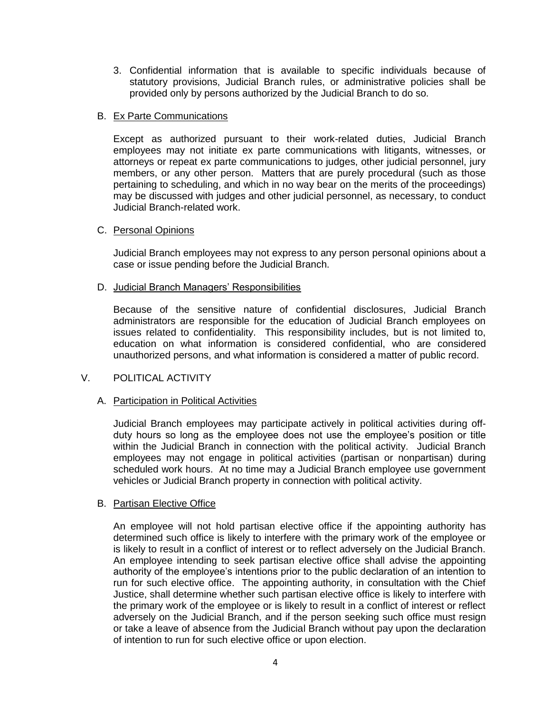3. Confidential information that is available to specific individuals because of statutory provisions, Judicial Branch rules, or administrative policies shall be provided only by persons authorized by the Judicial Branch to do so.

## B. Ex Parte Communications

Except as authorized pursuant to their work-related duties, Judicial Branch employees may not initiate ex parte communications with litigants, witnesses, or attorneys or repeat ex parte communications to judges, other judicial personnel, jury members, or any other person. Matters that are purely procedural (such as those pertaining to scheduling, and which in no way bear on the merits of the proceedings) may be discussed with judges and other judicial personnel, as necessary, to conduct Judicial Branch-related work.

## C. Personal Opinions

Judicial Branch employees may not express to any person personal opinions about a case or issue pending before the Judicial Branch.

## D. Judicial Branch Managers' Responsibilities

Because of the sensitive nature of confidential disclosures, Judicial Branch administrators are responsible for the education of Judicial Branch employees on issues related to confidentiality. This responsibility includes, but is not limited to, education on what information is considered confidential, who are considered unauthorized persons, and what information is considered a matter of public record.

# V. POLITICAL ACTIVITY

# A. Participation in Political Activities

Judicial Branch employees may participate actively in political activities during offduty hours so long as the employee does not use the employee's position or title within the Judicial Branch in connection with the political activity. Judicial Branch employees may not engage in political activities (partisan or nonpartisan) during scheduled work hours. At no time may a Judicial Branch employee use government vehicles or Judicial Branch property in connection with political activity.

## B. Partisan Elective Office

An employee will not hold partisan elective office if the appointing authority has determined such office is likely to interfere with the primary work of the employee or is likely to result in a conflict of interest or to reflect adversely on the Judicial Branch. An employee intending to seek partisan elective office shall advise the appointing authority of the employee's intentions prior to the public declaration of an intention to run for such elective office. The appointing authority, in consultation with the Chief Justice, shall determine whether such partisan elective office is likely to interfere with the primary work of the employee or is likely to result in a conflict of interest or reflect adversely on the Judicial Branch, and if the person seeking such office must resign or take a leave of absence from the Judicial Branch without pay upon the declaration of intention to run for such elective office or upon election.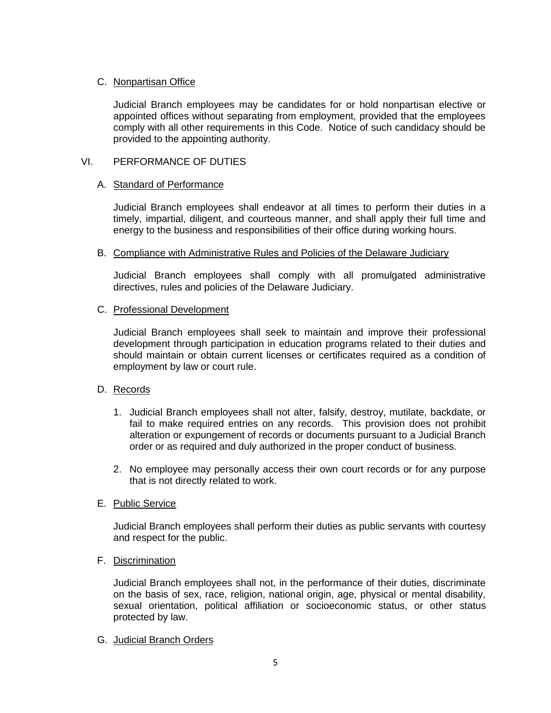# C. Nonpartisan Office

Judicial Branch employees may be candidates for or hold nonpartisan elective or appointed offices without separating from employment, provided that the employees comply with all other requirements in this Code. Notice of such candidacy should be provided to the appointing authority.

# VI. PERFORMANCE OF DUTIES

# A. Standard of Performance

Judicial Branch employees shall endeavor at all times to perform their duties in a timely, impartial, diligent, and courteous manner, and shall apply their full time and energy to the business and responsibilities of their office during working hours.

# B. Compliance with Administrative Rules and Policies of the Delaware Judiciary

Judicial Branch employees shall comply with all promulgated administrative directives, rules and policies of the Delaware Judiciary.

# C. Professional Development

Judicial Branch employees shall seek to maintain and improve their professional development through participation in education programs related to their duties and should maintain or obtain current licenses or certificates required as a condition of employment by law or court rule.

# D. Records

- 1. Judicial Branch employees shall not alter, falsify, destroy, mutilate, backdate, or fail to make required entries on any records. This provision does not prohibit alteration or expungement of records or documents pursuant to a Judicial Branch order or as required and duly authorized in the proper conduct of business.
- 2. No employee may personally access their own court records or for any purpose that is not directly related to work.

# E. Public Service

Judicial Branch employees shall perform their duties as public servants with courtesy and respect for the public.

# F. Discrimination

Judicial Branch employees shall not, in the performance of their duties, discriminate on the basis of sex, race, religion, national origin, age, physical or mental disability, sexual orientation, political affiliation or socioeconomic status, or other status protected by law.

# G. Judicial Branch Orders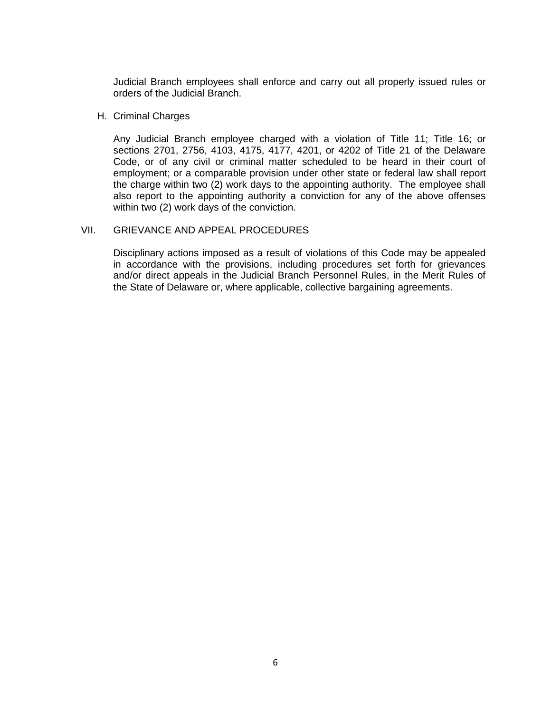Judicial Branch employees shall enforce and carry out all properly issued rules or orders of the Judicial Branch.

#### H. Criminal Charges

Any Judicial Branch employee charged with a violation of Title 11; Title 16; or sections 2701, 2756, 4103, 4175, 4177, 4201, or 4202 of Title 21 of the Delaware Code, or of any civil or criminal matter scheduled to be heard in their court of employment; or a comparable provision under other state or federal law shall report the charge within two (2) work days to the appointing authority. The employee shall also report to the appointing authority a conviction for any of the above offenses within two (2) work days of the conviction.

## VII. GRIEVANCE AND APPEAL PROCEDURES

Disciplinary actions imposed as a result of violations of this Code may be appealed in accordance with the provisions, including procedures set forth for grievances and/or direct appeals in the Judicial Branch Personnel Rules, in the Merit Rules of the State of Delaware or, where applicable, collective bargaining agreements.